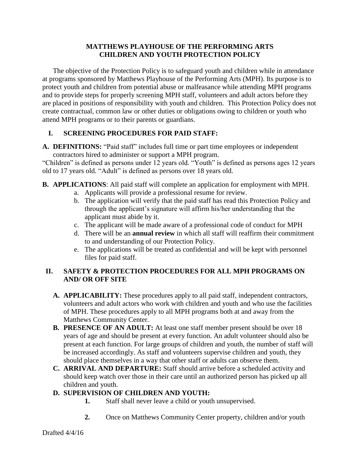### **MATTHEWS PLAYHOUSE OF THE PERFORMING ARTS CHILDREN AND YOUTH PROTECTION POLICY**

The objective of the Protection Policy is to safeguard youth and children while in attendance at programs sponsored by Matthews Playhouse of the Performing Arts (MPH). Its purpose is to protect youth and children from potential abuse or malfeasance while attending MPH programs and to provide steps for properly screening MPH staff, volunteers and adult actors before they are placed in positions of responsibility with youth and children. This Protection Policy does not create contractual, common law or other duties or obligations owing to children or youth who attend MPH programs or to their parents or guardians.

# **I. SCREENING PROCEDURES FOR PAID STAFF:**

**A. DEFINITIONS:** "Paid staff" includes full time or part time employees or independent contractors hired to administer or support a MPH program.

"Children" is defined as persons under 12 years old. "Youth" is defined as persons ages 12 years old to 17 years old. "Adult" is defined as persons over 18 years old.

- **B. APPLICATIONS**: All paid staff will complete an application for employment with MPH.
	- a. Applicants will provide a professional resume for review.
	- b. The application will verify that the paid staff has read this Protection Policy and through the applicant's signature will affirm his/her understanding that the applicant must abide by it.
	- c. The applicant will be made aware of a professional code of conduct for MPH
	- d. There will be an **annual review** in which all staff will reaffirm their commitment to and understanding of our Protection Policy.
	- e. The applications will be treated as confidential and will be kept with personnel files for paid staff.

### **II. SAFETY & PROTECTION PROCEDURES FOR ALL MPH PROGRAMS ON AND/ OR OFF SITE**

- **A. APPLICABILITY:** These procedures apply to all paid staff, independent contractors, volunteers and adult actors who work with children and youth and who use the facilities of MPH. These procedures apply to all MPH programs both at and away from the Matthews Community Center.
- **B. PRESENCE OF AN ADULT:** At least one staff member present should be over 18 years of age and should be present at every function. An adult volunteer should also be present at each function. For large groups of children and youth, the number of staff will be increased accordingly. As staff and volunteers supervise children and youth, they should place themselves in a way that other staff or adults can observe them.
- **C. ARRIVAL AND DEPARTURE:** Staff should arrive before a scheduled activity and should keep watch over those in their care until an authorized person has picked up all children and youth.

# **D. SUPERVISION OF CHILDREN AND YOUTH:**

- **1.** Staff shall never leave a child or youth unsupervised.
- **2.** Once on Matthews Community Center property, children and/or youth